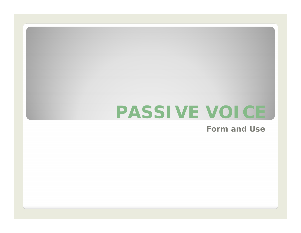# **PASSIVE VOICE**

**Form and Use**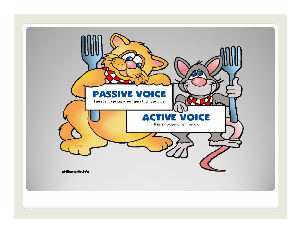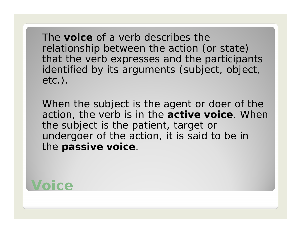The **voice** of a verb describes the relationship between the action (or state) that the verb expresses and the participants identified by its arguments (subject, object, etc.).

When the subject is the agent or doer of the action, the verb is in the **active voice**. When the subject is the patient, target or undergoer of the action, it is said to be in the **passive voice**.

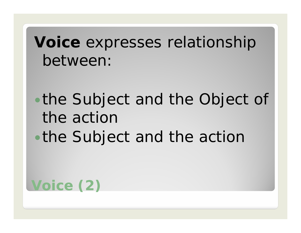## **Voice** expresses relationship between:

- the Subject and the Object of the action
- the Subject and the action

## **Voice (2)**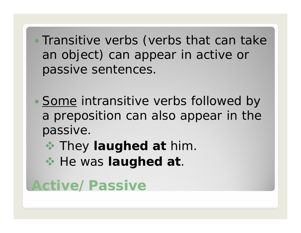• Transitive verbs (verbs that can take an object) can appear in active or passive sentences.

- Some intransitive verbs followed by a preposition can also appear in the passive.
	- $\cdot$  They **laughed at** him.
	- **\* He was laughed at.**

### **Active/Passive**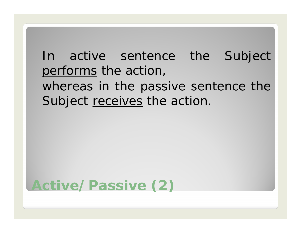#### In active sentence the Subject performs the action, whereas in the passive sentence the Subject receives the action.

## **Active/Passive (2)**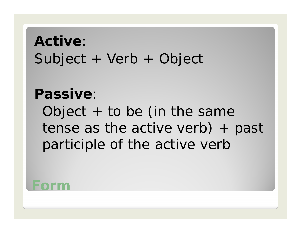## **Active**: Subject + Verb + Object

#### **Passive**:

Object  $+$  to be (in the same tense as the active verb) + past participle of the active verb

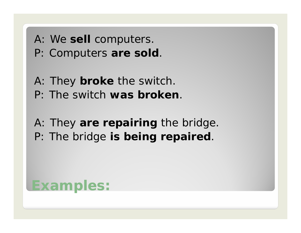A: We sell computers

P: Computers **are sold**.

A: They **broke** the switch. P: The switch **was broken**.

A: They **are repairing** the bridge. P: The bridge **is being repaired**.

### **Examples:**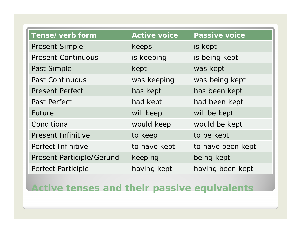| Tense/verb form                  | <b>Active voice</b> | <b>Passive voice</b> |
|----------------------------------|---------------------|----------------------|
| <b>Present Simple</b>            | keeps               | is kept              |
| <b>Present Continuous</b>        | is keeping          | is being kept        |
| Past Simple                      | kept                | was kept             |
| <b>Past Continuous</b>           | was keeping         | was being kept       |
| <b>Present Perfect</b>           | has kept            | has been kept        |
| Past Perfect                     | had kept            | had been kept        |
| <b>Future</b>                    | will keep           | will be kept         |
| Conditional                      | would keep          | would be kept        |
| <b>Present Infinitive</b>        | to keep             | to be kept           |
| Perfect Infinitive               | to have kept        | to have been kept    |
| <b>Present Participle/Gerund</b> | keeping             | being kept           |
| <b>Perfect Participle</b>        | having kept         | having been kept     |

**Active tenses and their passive equivalents**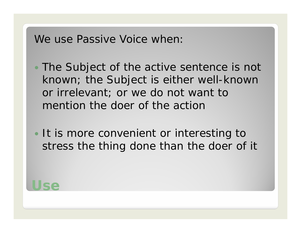We use Passive Voice when

- The Subject of the active sentence is not known; the Subject is either well-known or irrelevant; or we do not want to mention the doer of the actior
- It is more convenient or interesting to stress the thing done than the doer of it

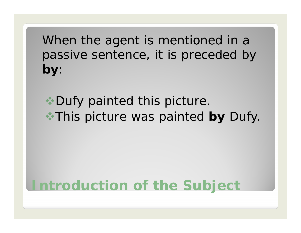When the agent is mentioned in a passive sentence, it is preceded by **by**:

## **Dufy painted this picture.** This picture was painted **by** Dufy.

## **Introduction of the Subject**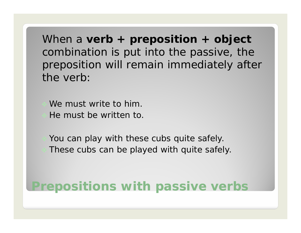When a verb + preposition + object combination is put into the passive, the preposition will remain immediately after the verb:

We must *write to* him.

He must be *written to*.

You can *play with* these cubs quite safely.

These cubs can be *played with* quite safely.

#### **Prepositions with passive verbs**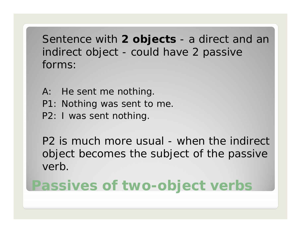Sentence with 2 objects - a direct and an indirect object - could have 2 passive forms:

- A: He sent me nothing.
- P1: Nothing was sent to me.
- P2: I was sent nothing.

P2 is much more usual - when the indirect object becomes the subject of the passive verb.

### **Passives of two-object verbs two**